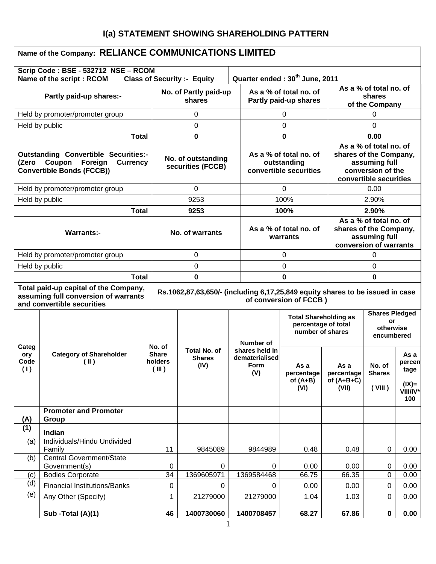# **I(a) STATEMENT SHOWING SHAREHOLDING PATTERN**

|                                                                                                                                  | Name of the Company: RELIANCE COMMUNICATIONS LIMITED                                                                                                                                                                   |              |                                         |                                              |  |                                                                 |                                                                         |                                                                                                                  |                                                        |                                                       |
|----------------------------------------------------------------------------------------------------------------------------------|------------------------------------------------------------------------------------------------------------------------------------------------------------------------------------------------------------------------|--------------|-----------------------------------------|----------------------------------------------|--|-----------------------------------------------------------------|-------------------------------------------------------------------------|------------------------------------------------------------------------------------------------------------------|--------------------------------------------------------|-------------------------------------------------------|
|                                                                                                                                  | Scrip Code: BSE - 532712 NSE - RCOM<br>Name of the script: RCOM                                                                                                                                                        |              |                                         | <b>Class of Security :- Equity</b>           |  |                                                                 | Quarter ended: 30 <sup>th</sup> June, 2011                              |                                                                                                                  |                                                        |                                                       |
| Partly paid-up shares:-                                                                                                          |                                                                                                                                                                                                                        |              | No. of Partly paid-up<br>shares         |                                              |  | As a % of total no. of<br>Partly paid-up shares                 |                                                                         |                                                                                                                  | As a % of total no. of<br>shares<br>of the Company     |                                                       |
|                                                                                                                                  | Held by promoter/promoter group                                                                                                                                                                                        |              |                                         | 0                                            |  |                                                                 | 0                                                                       |                                                                                                                  | 0                                                      |                                                       |
| Held by public                                                                                                                   |                                                                                                                                                                                                                        |              |                                         | 0                                            |  |                                                                 | 0                                                                       |                                                                                                                  | 0                                                      |                                                       |
|                                                                                                                                  |                                                                                                                                                                                                                        | <b>Total</b> |                                         | 0                                            |  |                                                                 | 0                                                                       |                                                                                                                  | 0.00                                                   |                                                       |
| <b>Outstanding Convertible Securities:-</b><br>Foreign<br>Coupon<br><b>Currency</b><br>(Zero<br><b>Convertible Bonds (FCCB))</b> |                                                                                                                                                                                                                        |              | No. of outstanding<br>securities (FCCB) |                                              |  | As a % of total no. of<br>outstanding<br>convertible securities |                                                                         | As a % of total no. of<br>shares of the Company,<br>assuming full<br>conversion of the<br>convertible securities |                                                        |                                                       |
|                                                                                                                                  | Held by promoter/promoter group                                                                                                                                                                                        |              |                                         | $\Omega$                                     |  |                                                                 | $\mathbf 0$                                                             |                                                                                                                  | 0.00                                                   |                                                       |
| Held by public                                                                                                                   |                                                                                                                                                                                                                        |              |                                         | 9253                                         |  |                                                                 | 100%                                                                    |                                                                                                                  | 2.90%                                                  |                                                       |
|                                                                                                                                  |                                                                                                                                                                                                                        | <b>Total</b> |                                         | 9253                                         |  |                                                                 | 100%                                                                    |                                                                                                                  | 2.90%                                                  |                                                       |
| <b>Warrants:-</b>                                                                                                                |                                                                                                                                                                                                                        |              | No. of warrants                         |                                              |  | As a % of total no. of<br>warrants                              |                                                                         | As a % of total no. of<br>shares of the Company,<br>assuming full<br>conversion of warrants                      |                                                        |                                                       |
| Held by promoter/promoter group                                                                                                  |                                                                                                                                                                                                                        |              | $\Omega$                                |                                              |  | $\Omega$                                                        |                                                                         | 0                                                                                                                |                                                        |                                                       |
| Held by public                                                                                                                   |                                                                                                                                                                                                                        |              | 0                                       |                                              |  | $\Omega$                                                        |                                                                         |                                                                                                                  | 0                                                      |                                                       |
| <b>Total</b>                                                                                                                     |                                                                                                                                                                                                                        |              | 0                                       |                                              |  | 0                                                               |                                                                         |                                                                                                                  | 0                                                      |                                                       |
|                                                                                                                                  | Total paid-up capital of the Company,<br>Rs.1062,87,63,650/- (including 6,17,25,849 equity shares to be issued in case<br>assuming full conversion of warrants<br>of conversion of FCCB)<br>and convertible securities |              |                                         |                                              |  |                                                                 |                                                                         |                                                                                                                  |                                                        |                                                       |
|                                                                                                                                  |                                                                                                                                                                                                                        |              | No. of                                  |                                              |  | Number of                                                       | <b>Total Shareholding as</b><br>percentage of total<br>number of shares |                                                                                                                  | <b>Shares Pledged</b><br>or<br>otherwise<br>encumbered |                                                       |
| Categ<br>ory<br>Code<br>(1)                                                                                                      | <b>Category of Shareholder</b><br>$(\parallel)$                                                                                                                                                                        |              | <b>Share</b><br>holders<br>(III)        | <b>Total No. of</b><br><b>Shares</b><br>(IV) |  | shares held in<br>dematerialised<br><b>Form</b><br>(V)          | As a<br>percentage<br>of $(A+B)$<br>(VI)                                | as a<br>percentage<br>of $(A+B+C)$<br>(VII)                                                                      | No. of<br><b>Shares</b><br>(VIII)                      | As a<br>percen<br>tage<br>$(IX)$ =<br>VIII/IV*<br>100 |
| (A)                                                                                                                              | <b>Promoter and Promoter</b><br>Group                                                                                                                                                                                  |              |                                         |                                              |  |                                                                 |                                                                         |                                                                                                                  |                                                        |                                                       |
| (1)                                                                                                                              | Indian                                                                                                                                                                                                                 |              |                                         |                                              |  |                                                                 |                                                                         |                                                                                                                  |                                                        |                                                       |
| (a)                                                                                                                              | Individuals/Hindu Undivided<br>Family                                                                                                                                                                                  |              | 11                                      | 9845089                                      |  | 9844989                                                         | 0.48                                                                    | 0.48                                                                                                             | 0                                                      | 0.00                                                  |
| (b)                                                                                                                              | <b>Central Government/State</b>                                                                                                                                                                                        |              |                                         |                                              |  |                                                                 |                                                                         |                                                                                                                  |                                                        |                                                       |
| (c)                                                                                                                              | Government(s)<br><b>Bodies Corporate</b>                                                                                                                                                                               |              | 0<br>34                                 | 0<br>1369605971                              |  | 0<br>1369584468                                                 | 0.00<br>66.75                                                           | 0.00<br>66.35                                                                                                    | 0<br>0                                                 | 0.00<br>0.00                                          |
| (d)                                                                                                                              | <b>Financial Institutions/Banks</b>                                                                                                                                                                                    |              | 0                                       | 0                                            |  | 0                                                               | 0.00                                                                    | 0.00                                                                                                             | 0                                                      | 0.00                                                  |
| (e)                                                                                                                              | Any Other (Specify)                                                                                                                                                                                                    |              | 1                                       | 21279000                                     |  | 21279000                                                        | 1.04                                                                    | 1.03                                                                                                             | 0                                                      | 0.00                                                  |
|                                                                                                                                  | Sub -Total (A)(1)                                                                                                                                                                                                      |              | 46                                      | 1400730060                                   |  | 1400708457                                                      | 68.27                                                                   | 67.86                                                                                                            | $\mathbf 0$                                            | 0.00                                                  |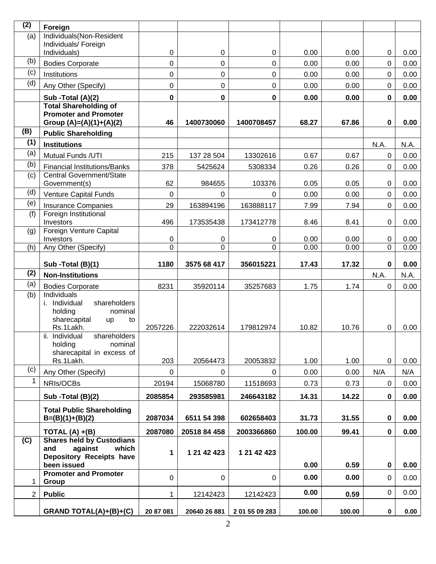| (2)          | Foreign                                                                                                |             |              |             |        |       |             |      |
|--------------|--------------------------------------------------------------------------------------------------------|-------------|--------------|-------------|--------|-------|-------------|------|
| (a)          | Individuals(Non-Resident                                                                               |             |              |             |        |       |             |      |
|              | Individuals/ Foreign<br>Individuals)                                                                   | 0           | 0            | 0           | 0.00   | 0.00  | $\pmb{0}$   | 0.00 |
| (b)          | <b>Bodies Corporate</b>                                                                                | 0           | 0            | 0           | 0.00   | 0.00  | 0           | 0.00 |
| (c)          | Institutions                                                                                           | 0           | 0            | $\mathbf 0$ | 0.00   | 0.00  | $\mathbf 0$ | 0.00 |
| (d)          | Any Other (Specify)                                                                                    | 0           | 0            | $\pmb{0}$   | 0.00   | 0.00  | $\mathbf 0$ | 0.00 |
|              | Sub -Total (A)(2)                                                                                      | $\bf{0}$    | 0            | 0           | 0.00   | 0.00  | $\mathbf 0$ | 0.00 |
|              | <b>Total Shareholding of</b><br><b>Promoter and Promoter</b><br>Group (A)=(A)(1)+(A)(2)                | 46          | 1400730060   | 1400708457  | 68.27  | 67.86 | 0           | 0.00 |
| (B)          | <b>Public Shareholding</b>                                                                             |             |              |             |        |       |             |      |
| (1)          | <b>Institutions</b>                                                                                    |             |              |             |        |       | N.A.        | N.A. |
| (a)          | Mutual Funds /UTI                                                                                      | 215         | 137 28 504   | 13302616    | 0.67   | 0.67  | $\mathbf 0$ | 0.00 |
| (b)          | <b>Financial Institutions/Banks</b>                                                                    | 378         | 5425624      | 5308334     | 0.26   | 0.26  | $\mathbf 0$ | 0.00 |
| (c)          | Central Government/State<br>Government(s)                                                              | 62          | 984655       | 103376      | 0.05   | 0.05  | 0           | 0.00 |
| (d)          | <b>Venture Capital Funds</b>                                                                           | 0           | 0            | 0           | 0.00   | 0.00  | $\mathbf 0$ | 0.00 |
| (e)          | <b>Insurance Companies</b>                                                                             | 29          | 163894196    | 163888117   | 7.99   | 7.94  | $\mathbf 0$ | 0.00 |
| (f)          | Foreign Institutional<br>Investors                                                                     | 496         | 173535438    | 173412778   | 8.46   | 8.41  | 0           | 0.00 |
| (g)          | Foreign Venture Capital<br>Investors                                                                   | 0           | 0            | 0           | 0.00   | 0.00  | 0           | 0.00 |
| (h)          | Any Other (Specify)                                                                                    | 0           | 0            | 0           | 0.00   | 0.00  | 0           | 0.00 |
|              |                                                                                                        |             |              |             |        |       |             |      |
| (2)          | Sub -Total (B)(1)                                                                                      | 1180        | 3575 68 417  | 356015221   | 17.43  | 17.32 | 0           | 0.00 |
| (a)          | <b>Non-Institutions</b>                                                                                |             |              |             |        |       | N.A.        | N.A. |
| (b)          | <b>Bodies Corporate</b><br><b>Individuals</b>                                                          | 8231        | 35920114     | 35257683    | 1.75   | 1.74  | $\mathbf 0$ | 0.00 |
|              | i. Individual<br>shareholders<br>holding<br>nominal<br>sharecapital<br>up<br>to                        |             |              |             |        |       |             |      |
|              | Rs.1Lakh.                                                                                              | 2057226     | 222032614    | 179812974   | 10.82  | 10.76 | 0           | 0.00 |
|              | ii. Individual<br>shareholders<br>holding<br>nominal<br>sharecapital in excess of                      |             |              |             |        |       |             |      |
| (c)          | Rs.1Lakh.                                                                                              | 203         | 20564473     | 20053832    | 1.00   | 1.00  | $\mathbf 0$ | 0.00 |
| $\mathbf{1}$ | Any Other (Specify)                                                                                    | 0           | $\Omega$     | 0           | 0.00   | 0.00  | N/A         | N/A  |
|              | NRIs/OCBs                                                                                              | 20194       | 15068780     | 11518693    | 0.73   | 0.73  | 0           | 0.00 |
|              | Sub - Total (B)(2)                                                                                     | 2085854     | 293585981    | 246643182   | 14.31  | 14.22 | 0           | 0.00 |
|              | <b>Total Public Shareholding</b><br>$B=(B)(1)+(B)(2)$                                                  | 2087034     | 6511 54 398  | 602658403   | 31.73  | 31.55 | $\mathbf 0$ | 0.00 |
|              | TOTAL $(A) + (B)$                                                                                      | 2087080     | 20518 84 458 | 2003366860  | 100.00 | 99.41 | 0           | 0.00 |
| (C)          | <b>Shares held by Custodians</b><br>against<br>which<br>and<br>Depository Receipts have<br>been issued | 1           | 1 21 42 423  | 1 21 42 423 | 0.00   | 0.59  | $\pmb{0}$   | 0.00 |
| 1            | <b>Promoter and Promoter</b><br>Group                                                                  | $\mathbf 0$ | $\pmb{0}$    | 0           | 0.00   | 0.00  | 0           | 0.00 |
| 2            | <b>Public</b>                                                                                          | 1           | 12142423     | 12142423    | 0.00   | 0.59  | 0           | 0.00 |
|              |                                                                                                        |             |              |             |        |       |             |      |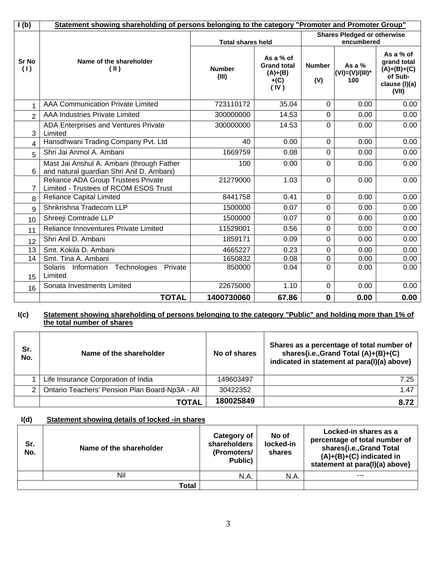| I(b)                | Statement showing shareholding of persons belonging to the category "Promoter and Promoter Group" |                          |                                                                |                      |                                  |                                                                                |  |
|---------------------|---------------------------------------------------------------------------------------------------|--------------------------|----------------------------------------------------------------|----------------------|----------------------------------|--------------------------------------------------------------------------------|--|
|                     |                                                                                                   | <b>Total shares held</b> | <b>Shares Pledged or otherwise</b><br>encumbered               |                      |                                  |                                                                                |  |
| <b>Sr No</b><br>(1) | Name of the shareholder<br>(II)                                                                   | <b>Number</b><br>(III)   | As a % of<br><b>Grand total</b><br>$(A)+(B)$<br>$+(C)$<br>(IV) | <b>Number</b><br>(V) | As a %<br>(VI)=(V)/(III)*<br>100 | As a % of<br>grand total<br>$(A)+(B)+(C)$<br>of Sub-<br>clause (I)(a)<br>(VII) |  |
| 1                   | <b>AAA Communication Private Limited</b>                                                          | 723110172                | 35.04                                                          | $\mathbf 0$          | 0.00                             | 0.00                                                                           |  |
| $\overline{2}$      | AAA Industries Private Limited                                                                    | 300000000                | 14.53                                                          | $\mathbf 0$          | 0.00                             | 0.00                                                                           |  |
| 3                   | ADA Enterprises and Ventures Private<br>Limited                                                   | 300000000                | 14.53                                                          | $\overline{0}$       | 0.00                             | 0.00                                                                           |  |
| 4                   | Hansdhwani Trading Company Pvt. Ltd                                                               | 40                       | 0.00                                                           | $\mathbf 0$          | 0.00                             | 0.00                                                                           |  |
| 5                   | Shri Jai Anmol A. Ambani                                                                          | 1669759                  | 0.08                                                           | $\mathbf 0$          | 0.00                             | 0.00                                                                           |  |
| 6                   | Mast Jai Anshul A. Ambani (through Father<br>and natural guardian Shri Anil D. Ambani)            | 100                      | 0.00                                                           | $\Omega$             | 0.00                             | 0.00                                                                           |  |
| 7                   | Reliance ADA Group Trustees Private<br>Limited - Trustees of RCOM ESOS Trust                      | 21279000                 | 1.03                                                           | $\Omega$             | 0.00                             | 0.00                                                                           |  |
| 8                   | <b>Reliance Capital Limited</b>                                                                   | 8441758                  | 0.41                                                           | $\Omega$             | 0.00                             | 0.00                                                                           |  |
| 9                   | Shrikrishna Tradecom LLP                                                                          | 1500000                  | 0.07                                                           | $\Omega$             | 0.00                             | 0.00                                                                           |  |
| 10                  | Shreeji Comtrade LLP                                                                              | 1500000                  | 0.07                                                           | $\Omega$             | 0.00                             | 0.00                                                                           |  |
| 11                  | Reliance Innoventures Private Limited                                                             | 11529001                 | 0.56                                                           | $\mathbf 0$          | 0.00                             | 0.00                                                                           |  |
| 12                  | Shri Anil D. Ambani                                                                               | 1859171                  | 0.09                                                           | $\Omega$             | 0.00                             | 0.00                                                                           |  |
| 13                  | Smt. Kokila D. Ambani                                                                             | 4665227                  | 0.23                                                           | $\mathbf 0$          | 0.00                             | 0.00                                                                           |  |
| 14                  | Smt. Tina A. Ambani                                                                               | 1650832                  | 0.08                                                           | $\mathbf 0$          | 0.00                             | 0.00                                                                           |  |
| 15                  | Technologies<br><b>Solaris</b><br>Private<br>Information<br>Limited                               | 850000                   | 0.04                                                           | 0                    | 0.00                             | 0.00                                                                           |  |
| 16                  | Sonata Investments Limited                                                                        | 22675000                 | 1.10                                                           | $\mathbf 0$          | 0.00                             | 0.00                                                                           |  |
|                     | <b>TOTAL</b>                                                                                      | 1400730060               | 67.86                                                          | $\mathbf 0$          | 0.00                             | 0.00                                                                           |  |

#### **I(c) Statement showing shareholding of persons belonging to the category "Public" and holding more than 1% of the total number of shares**

| Sr.<br>No. | Name of the shareholder                         | No of shares | Shares as a percentage of total number of<br>shares{i.e., Grand Total (A)+(B)+(C)<br>indicated in statement at para(I)(a) above} |
|------------|-------------------------------------------------|--------------|----------------------------------------------------------------------------------------------------------------------------------|
|            | Life Insurance Corporation of India             | 149603497    | 7.25                                                                                                                             |
| 2          | Ontario Teachers' Pension Plan Board-Np3A - All | 30422352     | 1.47                                                                                                                             |
|            | <b>TOTAL</b>                                    | 180025849    | 8.72                                                                                                                             |

## **I(d) Statement showing details of locked -in shares**

| Sr.<br>No. | Name of the shareholder | Category of<br>shareholders<br>(Promoters/<br>Public) | No of<br>locked-in<br>shares | Locked-in shares as a<br>percentage of total number of<br>shares{i.e., Grand Total<br>$(A)+(B)+(C)$ indicated in<br>statement at para(I)(a) above} |
|------------|-------------------------|-------------------------------------------------------|------------------------------|----------------------------------------------------------------------------------------------------------------------------------------------------|
|            | Nil                     | N.A.                                                  | N.A.                         | ---                                                                                                                                                |
|            | Total                   |                                                       |                              |                                                                                                                                                    |